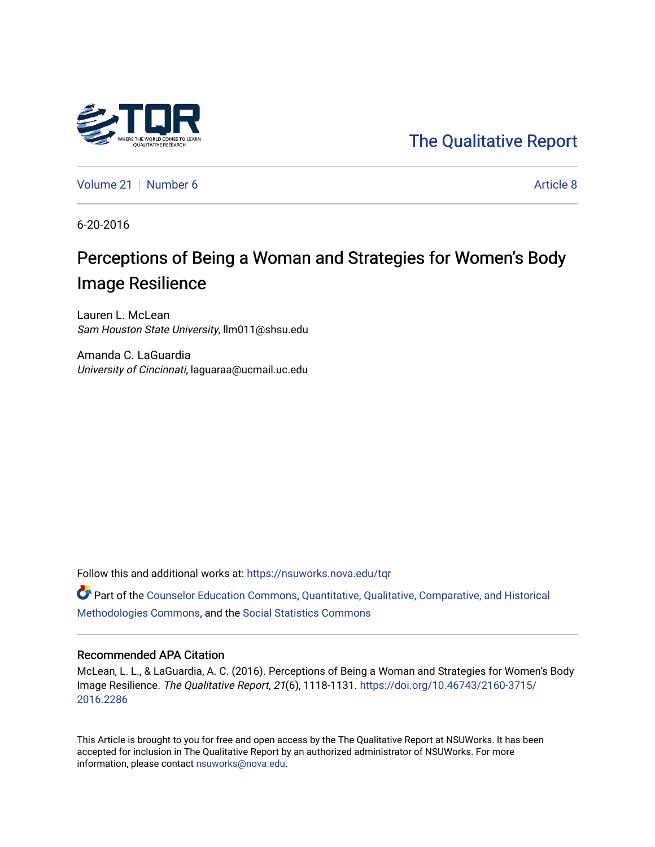# [The Qualitative Report](https://nsuworks.nova.edu/tqr)

[Volume 21](https://nsuworks.nova.edu/tqr/vol21) | [Number 6](https://nsuworks.nova.edu/tqr/vol21/iss6) [Article 8](https://nsuworks.nova.edu/tqr/vol21/iss6/8) Article 8

6-20-2016

# Perceptions of Being a Woman and Strategies for Women's Body Image Resilience

Lauren L. McLean Sam Houston State University, llm011@shsu.edu

Amanda C. LaGuardia University of Cincinnati, laguaraa@ucmail.uc.edu

Follow this and additional works at: [https://nsuworks.nova.edu/tqr](https://nsuworks.nova.edu/tqr?utm_source=nsuworks.nova.edu%2Ftqr%2Fvol21%2Fiss6%2F8&utm_medium=PDF&utm_campaign=PDFCoverPages) 

Part of the [Counselor Education Commons,](http://network.bepress.com/hgg/discipline/1278?utm_source=nsuworks.nova.edu%2Ftqr%2Fvol21%2Fiss6%2F8&utm_medium=PDF&utm_campaign=PDFCoverPages) [Quantitative, Qualitative, Comparative, and Historical](http://network.bepress.com/hgg/discipline/423?utm_source=nsuworks.nova.edu%2Ftqr%2Fvol21%2Fiss6%2F8&utm_medium=PDF&utm_campaign=PDFCoverPages) [Methodologies Commons](http://network.bepress.com/hgg/discipline/423?utm_source=nsuworks.nova.edu%2Ftqr%2Fvol21%2Fiss6%2F8&utm_medium=PDF&utm_campaign=PDFCoverPages), and the [Social Statistics Commons](http://network.bepress.com/hgg/discipline/1275?utm_source=nsuworks.nova.edu%2Ftqr%2Fvol21%2Fiss6%2F8&utm_medium=PDF&utm_campaign=PDFCoverPages) 

#### Recommended APA Citation

McLean, L. L., & LaGuardia, A. C. (2016). Perceptions of Being a Woman and Strategies for Women's Body Image Resilience. The Qualitative Report, 21(6), 1118-1131. [https://doi.org/10.46743/2160-3715/](https://doi.org/10.46743/2160-3715/2016.2286) [2016.2286](https://doi.org/10.46743/2160-3715/2016.2286) 

This Article is brought to you for free and open access by the The Qualitative Report at NSUWorks. It has been accepted for inclusion in The Qualitative Report by an authorized administrator of NSUWorks. For more information, please contact [nsuworks@nova.edu.](mailto:nsuworks@nova.edu)

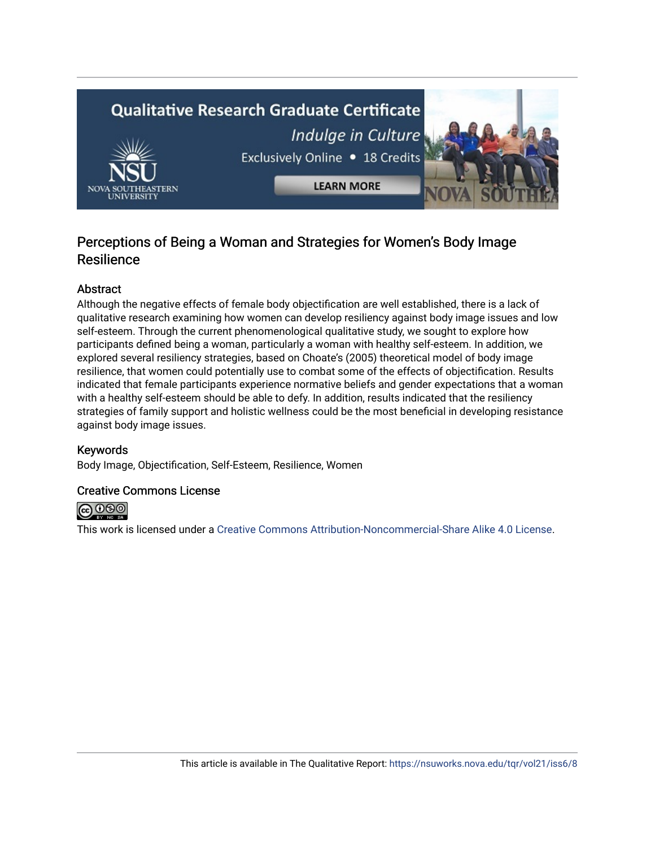# **Qualitative Research Graduate Certificate** Indulge in Culture Exclusively Online . 18 Credits **LEARN MORE**

# Perceptions of Being a Woman and Strategies for Women's Body Image **Resilience**

## Abstract

Although the negative effects of female body objectification are well established, there is a lack of qualitative research examining how women can develop resiliency against body image issues and low self-esteem. Through the current phenomenological qualitative study, we sought to explore how participants defined being a woman, particularly a woman with healthy self-esteem. In addition, we explored several resiliency strategies, based on Choate's (2005) theoretical model of body image resilience, that women could potentially use to combat some of the effects of objectification. Results indicated that female participants experience normative beliefs and gender expectations that a woman with a healthy self-esteem should be able to defy. In addition, results indicated that the resiliency strategies of family support and holistic wellness could be the most beneficial in developing resistance against body image issues.

## Keywords

Body Image, Objectification, Self-Esteem, Resilience, Women

## Creative Commons License



This work is licensed under a [Creative Commons Attribution-Noncommercial-Share Alike 4.0 License](https://creativecommons.org/licenses/by-nc-sa/4.0/).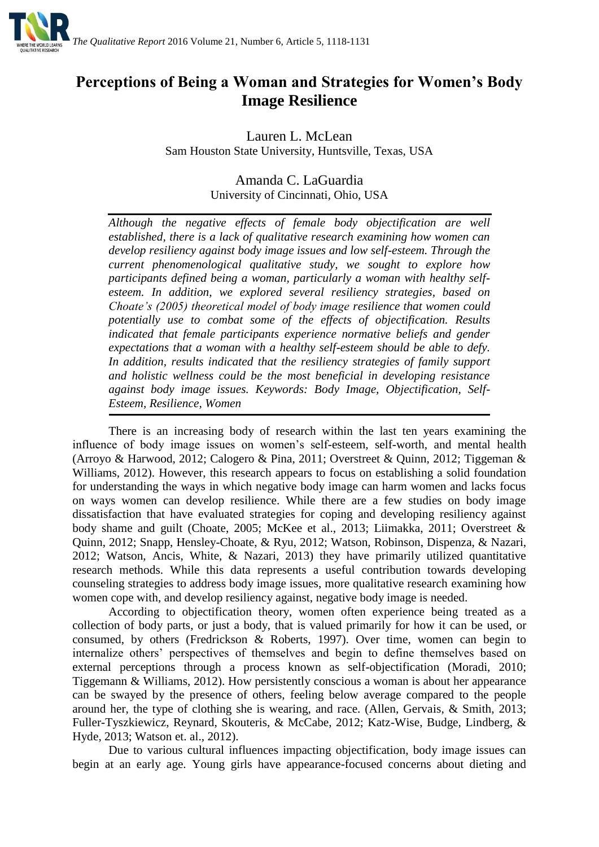

# **Perceptions of Being a Woman and Strategies for Women's Body Image Resilience**

Lauren L. McLean Sam Houston State University, Huntsville, Texas, USA

# Amanda C. LaGuardia University of Cincinnati, Ohio, USA

*Although the negative effects of female body objectification are well established, there is a lack of qualitative research examining how women can develop resiliency against body image issues and low self-esteem. Through the current phenomenological qualitative study, we sought to explore how participants defined being a woman, particularly a woman with healthy selfesteem. In addition, we explored several resiliency strategies, based on Choate's (2005) theoretical model of body image resilience that women could potentially use to combat some of the effects of objectification. Results indicated that female participants experience normative beliefs and gender expectations that a woman with a healthy self-esteem should be able to defy. In addition, results indicated that the resiliency strategies of family support and holistic wellness could be the most beneficial in developing resistance against body image issues. Keywords: Body Image, Objectification, Self-Esteem, Resilience, Women*

There is an increasing body of research within the last ten years examining the influence of body image issues on women's self-esteem, self-worth, and mental health (Arroyo & Harwood, 2012; Calogero & Pina, 2011; Overstreet & Quinn, 2012; Tiggeman & Williams, 2012). However, this research appears to focus on establishing a solid foundation for understanding the ways in which negative body image can harm women and lacks focus on ways women can develop resilience. While there are a few studies on body image dissatisfaction that have evaluated strategies for coping and developing resiliency against body shame and guilt (Choate, 2005; McKee et al., 2013; Liimakka, 2011; Overstreet & Quinn, 2012; Snapp, Hensley-Choate, & Ryu, 2012; Watson, Robinson, Dispenza, & Nazari, 2012; Watson, Ancis, White, & Nazari, 2013) they have primarily utilized quantitative research methods. While this data represents a useful contribution towards developing counseling strategies to address body image issues, more qualitative research examining how women cope with, and develop resiliency against, negative body image is needed.

According to objectification theory, women often experience being treated as a collection of body parts, or just a body, that is valued primarily for how it can be used, or consumed, by others (Fredrickson & Roberts, 1997). Over time, women can begin to internalize others' perspectives of themselves and begin to define themselves based on external perceptions through a process known as self-objectification (Moradi, 2010; Tiggemann & Williams, 2012). How persistently conscious a woman is about her appearance can be swayed by the presence of others, feeling below average compared to the people around her, the type of clothing she is wearing, and race. (Allen, Gervais, & Smith, 2013; Fuller-Tyszkiewicz, Reynard, Skouteris, & McCabe, 2012; Katz-Wise, Budge, Lindberg, & Hyde, 2013; Watson et. al., 2012).

Due to various cultural influences impacting objectification, body image issues can begin at an early age. Young girls have appearance-focused concerns about dieting and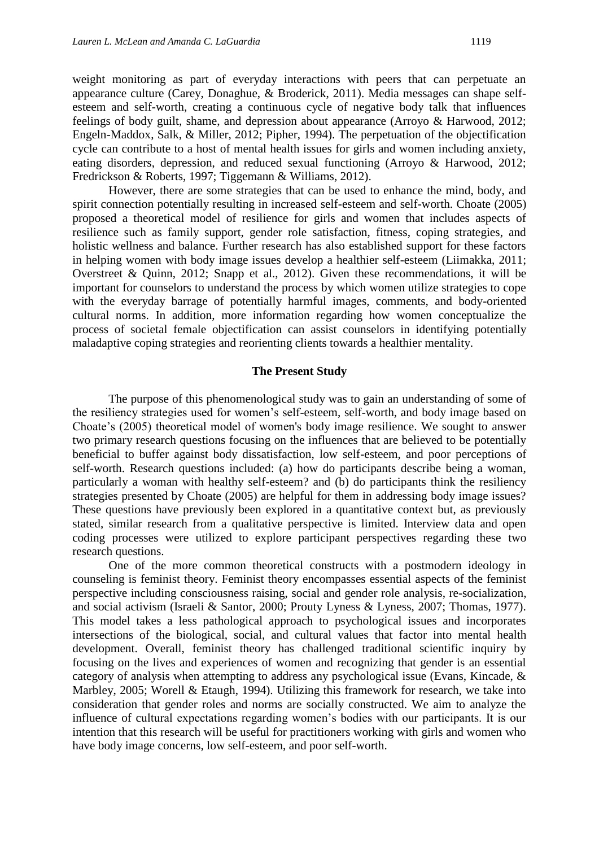weight monitoring as part of everyday interactions with peers that can perpetuate an appearance culture (Carey, Donaghue, & Broderick, 2011). Media messages can shape selfesteem and self-worth, creating a continuous cycle of negative body talk that influences feelings of body guilt, shame, and depression about appearance (Arroyo & Harwood, 2012; Engeln-Maddox, Salk, & Miller, 2012; Pipher, 1994). The perpetuation of the objectification cycle can contribute to a host of mental health issues for girls and women including anxiety,

Fredrickson & Roberts, 1997; Tiggemann & Williams, 2012). However, there are some strategies that can be used to enhance the mind, body, and spirit connection potentially resulting in increased self-esteem and self-worth. Choate (2005) proposed a theoretical model of resilience for girls and women that includes aspects of resilience such as family support, gender role satisfaction, fitness, coping strategies, and holistic wellness and balance. Further research has also established support for these factors in helping women with body image issues develop a healthier self-esteem (Liimakka, 2011; Overstreet & Quinn, 2012; Snapp et al., 2012). Given these recommendations, it will be important for counselors to understand the process by which women utilize strategies to cope with the everyday barrage of potentially harmful images, comments, and body-oriented cultural norms. In addition, more information regarding how women conceptualize the process of societal female objectification can assist counselors in identifying potentially maladaptive coping strategies and reorienting clients towards a healthier mentality.

eating disorders, depression, and reduced sexual functioning (Arroyo & Harwood, 2012;

#### **The Present Study**

The purpose of this phenomenological study was to gain an understanding of some of the resiliency strategies used for women's self-esteem, self-worth, and body image based on Choate's (2005) theoretical model of women's body image resilience. We sought to answer two primary research questions focusing on the influences that are believed to be potentially beneficial to buffer against body dissatisfaction, low self-esteem, and poor perceptions of self-worth. Research questions included: (a) how do participants describe being a woman, particularly a woman with healthy self-esteem? and (b) do participants think the resiliency strategies presented by Choate (2005) are helpful for them in addressing body image issues? These questions have previously been explored in a quantitative context but, as previously stated, similar research from a qualitative perspective is limited. Interview data and open coding processes were utilized to explore participant perspectives regarding these two research questions.

One of the more common theoretical constructs with a postmodern ideology in counseling is feminist theory. Feminist theory encompasses essential aspects of the feminist perspective including consciousness raising, social and gender role analysis, re-socialization, and social activism (Israeli & Santor, 2000; Prouty Lyness & Lyness, 2007; Thomas, 1977). This model takes a less pathological approach to psychological issues and incorporates intersections of the biological, social, and cultural values that factor into mental health development. Overall, feminist theory has challenged traditional scientific inquiry by focusing on the lives and experiences of women and recognizing that gender is an essential category of analysis when attempting to address any psychological issue (Evans, Kincade, & Marbley, 2005; Worell & Etaugh, 1994). Utilizing this framework for research, we take into consideration that gender roles and norms are socially constructed. We aim to analyze the influence of cultural expectations regarding women's bodies with our participants. It is our intention that this research will be useful for practitioners working with girls and women who have body image concerns, low self-esteem, and poor self-worth.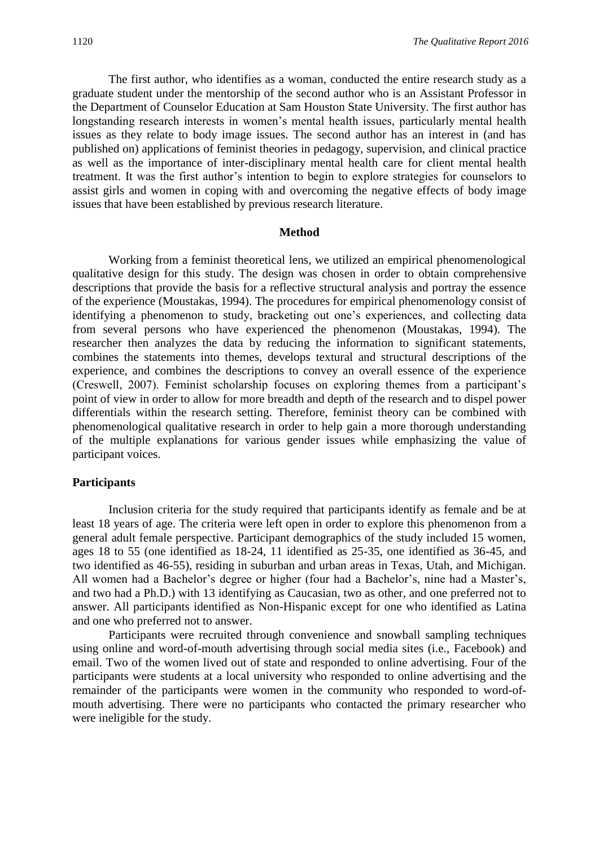The first author, who identifies as a woman, conducted the entire research study as a graduate student under the mentorship of the second author who is an Assistant Professor in the Department of Counselor Education at Sam Houston State University. The first author has longstanding research interests in women's mental health issues, particularly mental health issues as they relate to body image issues. The second author has an interest in (and has published on) applications of feminist theories in pedagogy, supervision, and clinical practice as well as the importance of inter-disciplinary mental health care for client mental health treatment. It was the first author's intention to begin to explore strategies for counselors to assist girls and women in coping with and overcoming the negative effects of body image issues that have been established by previous research literature.

#### **Method**

Working from a feminist theoretical lens, we utilized an empirical phenomenological qualitative design for this study. The design was chosen in order to obtain comprehensive descriptions that provide the basis for a reflective structural analysis and portray the essence of the experience (Moustakas, 1994). The procedures for empirical phenomenology consist of identifying a phenomenon to study, bracketing out one's experiences, and collecting data from several persons who have experienced the phenomenon (Moustakas, 1994). The researcher then analyzes the data by reducing the information to significant statements, combines the statements into themes, develops textural and structural descriptions of the experience, and combines the descriptions to convey an overall essence of the experience (Creswell, 2007). Feminist scholarship focuses on exploring themes from a participant's point of view in order to allow for more breadth and depth of the research and to dispel power differentials within the research setting. Therefore, feminist theory can be combined with phenomenological qualitative research in order to help gain a more thorough understanding of the multiple explanations for various gender issues while emphasizing the value of participant voices.

#### **Participants**

Inclusion criteria for the study required that participants identify as female and be at least 18 years of age. The criteria were left open in order to explore this phenomenon from a general adult female perspective. Participant demographics of the study included 15 women, ages 18 to 55 (one identified as 18-24, 11 identified as 25-35, one identified as 36-45, and two identified as 46-55), residing in suburban and urban areas in Texas, Utah, and Michigan. All women had a Bachelor's degree or higher (four had a Bachelor's, nine had a Master's, and two had a Ph.D.) with 13 identifying as Caucasian, two as other, and one preferred not to answer. All participants identified as Non-Hispanic except for one who identified as Latina and one who preferred not to answer.

Participants were recruited through convenience and snowball sampling techniques using online and word-of-mouth advertising through social media sites (i.e., Facebook) and email. Two of the women lived out of state and responded to online advertising. Four of the participants were students at a local university who responded to online advertising and the remainder of the participants were women in the community who responded to word-ofmouth advertising. There were no participants who contacted the primary researcher who were ineligible for the study.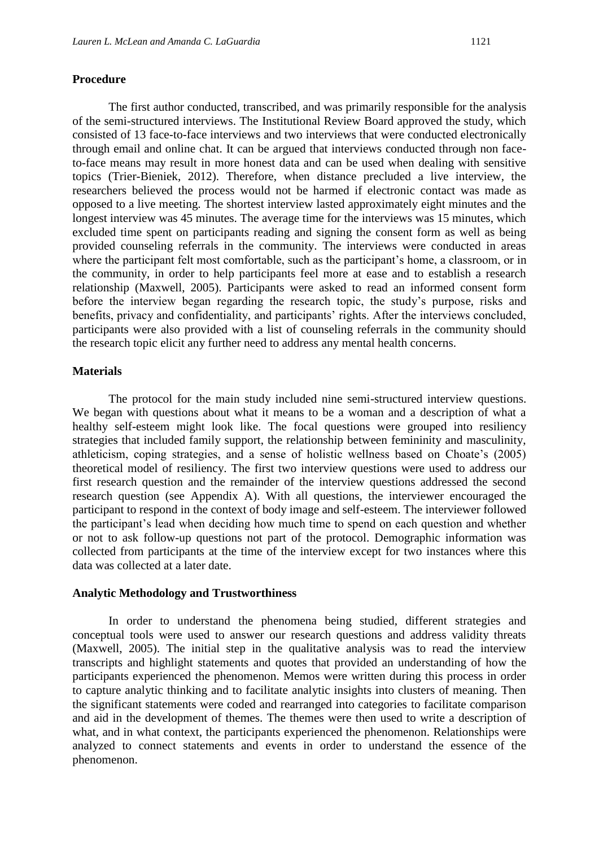#### **Procedure**

The first author conducted, transcribed, and was primarily responsible for the analysis of the semi-structured interviews. The Institutional Review Board approved the study, which consisted of 13 face-to-face interviews and two interviews that were conducted electronically through email and online chat. It can be argued that interviews conducted through non faceto-face means may result in more honest data and can be used when dealing with sensitive topics (Trier-Bieniek, 2012). Therefore, when distance precluded a live interview, the researchers believed the process would not be harmed if electronic contact was made as opposed to a live meeting. The shortest interview lasted approximately eight minutes and the longest interview was 45 minutes. The average time for the interviews was 15 minutes, which excluded time spent on participants reading and signing the consent form as well as being provided counseling referrals in the community. The interviews were conducted in areas where the participant felt most comfortable, such as the participant's home, a classroom, or in the community, in order to help participants feel more at ease and to establish a research relationship (Maxwell, 2005). Participants were asked to read an informed consent form before the interview began regarding the research topic, the study's purpose, risks and benefits, privacy and confidentiality, and participants' rights. After the interviews concluded, participants were also provided with a list of counseling referrals in the community should the research topic elicit any further need to address any mental health concerns.

#### **Materials**

The protocol for the main study included nine semi-structured interview questions. We began with questions about what it means to be a woman and a description of what a healthy self-esteem might look like. The focal questions were grouped into resiliency strategies that included family support, the relationship between femininity and masculinity, athleticism, coping strategies, and a sense of holistic wellness based on Choate's (2005) theoretical model of resiliency. The first two interview questions were used to address our first research question and the remainder of the interview questions addressed the second research question (see Appendix A). With all questions, the interviewer encouraged the participant to respond in the context of body image and self-esteem. The interviewer followed the participant's lead when deciding how much time to spend on each question and whether or not to ask follow-up questions not part of the protocol. Demographic information was collected from participants at the time of the interview except for two instances where this data was collected at a later date.

#### **Analytic Methodology and Trustworthiness**

In order to understand the phenomena being studied, different strategies and conceptual tools were used to answer our research questions and address validity threats (Maxwell, 2005). The initial step in the qualitative analysis was to read the interview transcripts and highlight statements and quotes that provided an understanding of how the participants experienced the phenomenon. Memos were written during this process in order to capture analytic thinking and to facilitate analytic insights into clusters of meaning. Then the significant statements were coded and rearranged into categories to facilitate comparison and aid in the development of themes. The themes were then used to write a description of what, and in what context, the participants experienced the phenomenon. Relationships were analyzed to connect statements and events in order to understand the essence of the phenomenon.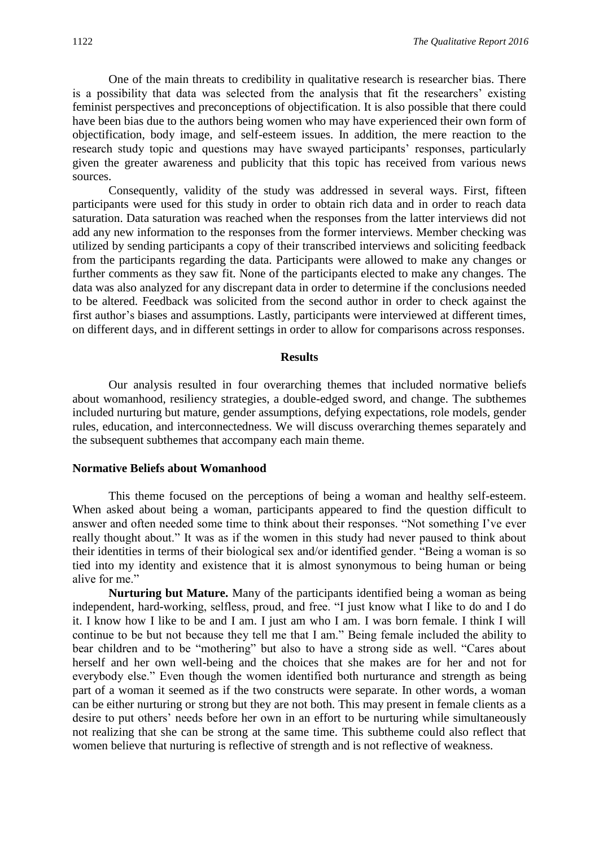One of the main threats to credibility in qualitative research is researcher bias. There is a possibility that data was selected from the analysis that fit the researchers' existing feminist perspectives and preconceptions of objectification. It is also possible that there could have been bias due to the authors being women who may have experienced their own form of objectification, body image, and self-esteem issues. In addition, the mere reaction to the research study topic and questions may have swayed participants' responses, particularly given the greater awareness and publicity that this topic has received from various news sources.

Consequently, validity of the study was addressed in several ways. First, fifteen participants were used for this study in order to obtain rich data and in order to reach data saturation. Data saturation was reached when the responses from the latter interviews did not add any new information to the responses from the former interviews. Member checking was utilized by sending participants a copy of their transcribed interviews and soliciting feedback from the participants regarding the data. Participants were allowed to make any changes or further comments as they saw fit. None of the participants elected to make any changes. The data was also analyzed for any discrepant data in order to determine if the conclusions needed to be altered. Feedback was solicited from the second author in order to check against the first author's biases and assumptions. Lastly, participants were interviewed at different times, on different days, and in different settings in order to allow for comparisons across responses.

#### **Results**

Our analysis resulted in four overarching themes that included normative beliefs about womanhood, resiliency strategies, a double-edged sword, and change. The subthemes included nurturing but mature, gender assumptions, defying expectations, role models, gender rules, education, and interconnectedness. We will discuss overarching themes separately and the subsequent subthemes that accompany each main theme.

#### **Normative Beliefs about Womanhood**

This theme focused on the perceptions of being a woman and healthy self-esteem. When asked about being a woman, participants appeared to find the question difficult to answer and often needed some time to think about their responses. "Not something I've ever really thought about." It was as if the women in this study had never paused to think about their identities in terms of their biological sex and/or identified gender. "Being a woman is so tied into my identity and existence that it is almost synonymous to being human or being alive for me."

**Nurturing but Mature.** Many of the participants identified being a woman as being independent, hard-working, selfless, proud, and free. "I just know what I like to do and I do it. I know how I like to be and I am. I just am who I am. I was born female. I think I will continue to be but not because they tell me that I am." Being female included the ability to bear children and to be "mothering" but also to have a strong side as well. "Cares about herself and her own well-being and the choices that she makes are for her and not for everybody else." Even though the women identified both nurturance and strength as being part of a woman it seemed as if the two constructs were separate. In other words, a woman can be either nurturing or strong but they are not both. This may present in female clients as a desire to put others' needs before her own in an effort to be nurturing while simultaneously not realizing that she can be strong at the same time. This subtheme could also reflect that women believe that nurturing is reflective of strength and is not reflective of weakness.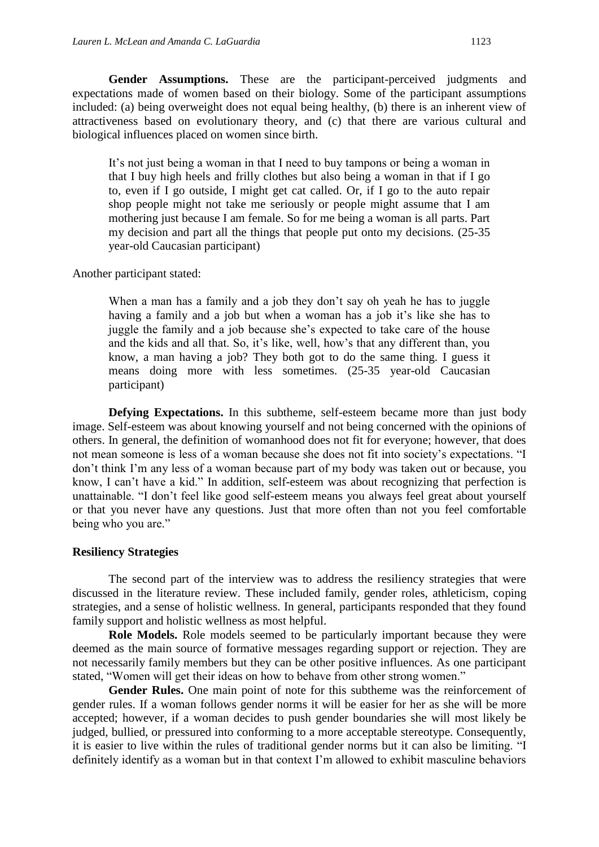Gender Assumptions. These are the participant-perceived judgments and expectations made of women based on their biology. Some of the participant assumptions included: (a) being overweight does not equal being healthy, (b) there is an inherent view of attractiveness based on evolutionary theory, and (c) that there are various cultural and biological influences placed on women since birth.

It's not just being a woman in that I need to buy tampons or being a woman in that I buy high heels and frilly clothes but also being a woman in that if I go to, even if I go outside, I might get cat called. Or, if I go to the auto repair shop people might not take me seriously or people might assume that I am mothering just because I am female. So for me being a woman is all parts. Part my decision and part all the things that people put onto my decisions. (25-35 year-old Caucasian participant)

Another participant stated:

When a man has a family and a job they don't say oh yeah he has to juggle having a family and a job but when a woman has a job it's like she has to juggle the family and a job because she's expected to take care of the house and the kids and all that. So, it's like, well, how's that any different than, you know, a man having a job? They both got to do the same thing. I guess it means doing more with less sometimes. (25-35 year-old Caucasian participant)

**Defying Expectations.** In this subtheme, self-esteem became more than just body image. Self-esteem was about knowing yourself and not being concerned with the opinions of others. In general, the definition of womanhood does not fit for everyone; however, that does not mean someone is less of a woman because she does not fit into society's expectations. "I don't think I'm any less of a woman because part of my body was taken out or because, you know, I can't have a kid." In addition, self-esteem was about recognizing that perfection is unattainable. "I don't feel like good self-esteem means you always feel great about yourself or that you never have any questions. Just that more often than not you feel comfortable being who you are."

#### **Resiliency Strategies**

The second part of the interview was to address the resiliency strategies that were discussed in the literature review. These included family, gender roles, athleticism, coping strategies, and a sense of holistic wellness. In general, participants responded that they found family support and holistic wellness as most helpful.

**Role Models.** Role models seemed to be particularly important because they were deemed as the main source of formative messages regarding support or rejection. They are not necessarily family members but they can be other positive influences. As one participant stated, "Women will get their ideas on how to behave from other strong women."

Gender Rules. One main point of note for this subtheme was the reinforcement of gender rules. If a woman follows gender norms it will be easier for her as she will be more accepted; however, if a woman decides to push gender boundaries she will most likely be judged, bullied, or pressured into conforming to a more acceptable stereotype. Consequently, it is easier to live within the rules of traditional gender norms but it can also be limiting. "I definitely identify as a woman but in that context I'm allowed to exhibit masculine behaviors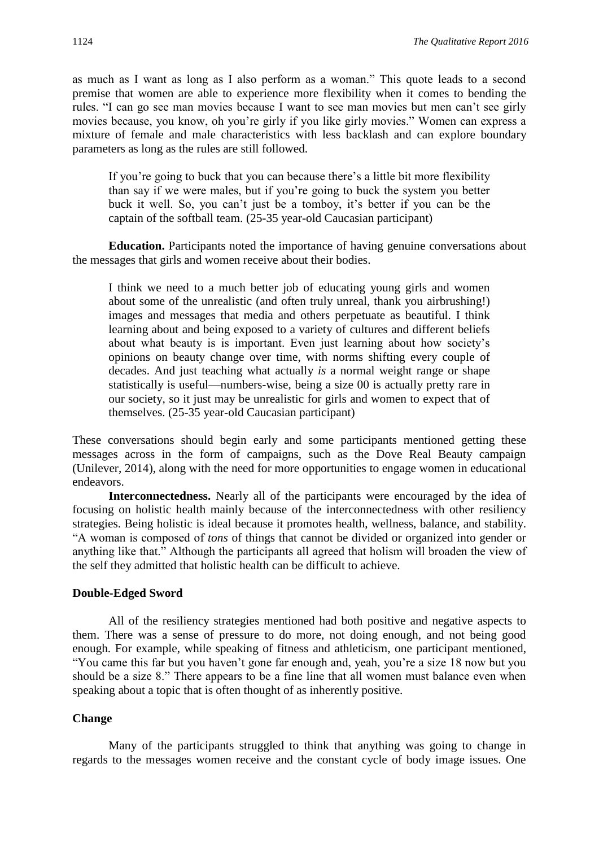as much as I want as long as I also perform as a woman." This quote leads to a second premise that women are able to experience more flexibility when it comes to bending the rules. "I can go see man movies because I want to see man movies but men can't see girly movies because, you know, oh you're girly if you like girly movies." Women can express a mixture of female and male characteristics with less backlash and can explore boundary parameters as long as the rules are still followed.

If you're going to buck that you can because there's a little bit more flexibility than say if we were males, but if you're going to buck the system you better buck it well. So, you can't just be a tomboy, it's better if you can be the captain of the softball team. (25-35 year-old Caucasian participant)

**Education.** Participants noted the importance of having genuine conversations about the messages that girls and women receive about their bodies.

I think we need to a much better job of educating young girls and women about some of the unrealistic (and often truly unreal, thank you airbrushing!) images and messages that media and others perpetuate as beautiful. I think learning about and being exposed to a variety of cultures and different beliefs about what beauty is is important. Even just learning about how society's opinions on beauty change over time, with norms shifting every couple of decades. And just teaching what actually *is* a normal weight range or shape statistically is useful—numbers-wise, being a size 00 is actually pretty rare in our society, so it just may be unrealistic for girls and women to expect that of themselves. (25-35 year-old Caucasian participant)

These conversations should begin early and some participants mentioned getting these messages across in the form of campaigns, such as the Dove Real Beauty campaign (Unilever, 2014), along with the need for more opportunities to engage women in educational endeavors.

**Interconnectedness.** Nearly all of the participants were encouraged by the idea of focusing on holistic health mainly because of the interconnectedness with other resiliency strategies. Being holistic is ideal because it promotes health, wellness, balance, and stability. "A woman is composed of *tons* of things that cannot be divided or organized into gender or anything like that." Although the participants all agreed that holism will broaden the view of the self they admitted that holistic health can be difficult to achieve.

#### **Double-Edged Sword**

All of the resiliency strategies mentioned had both positive and negative aspects to them. There was a sense of pressure to do more, not doing enough, and not being good enough. For example, while speaking of fitness and athleticism, one participant mentioned, "You came this far but you haven't gone far enough and, yeah, you're a size 18 now but you should be a size 8." There appears to be a fine line that all women must balance even when speaking about a topic that is often thought of as inherently positive.

#### **Change**

Many of the participants struggled to think that anything was going to change in regards to the messages women receive and the constant cycle of body image issues. One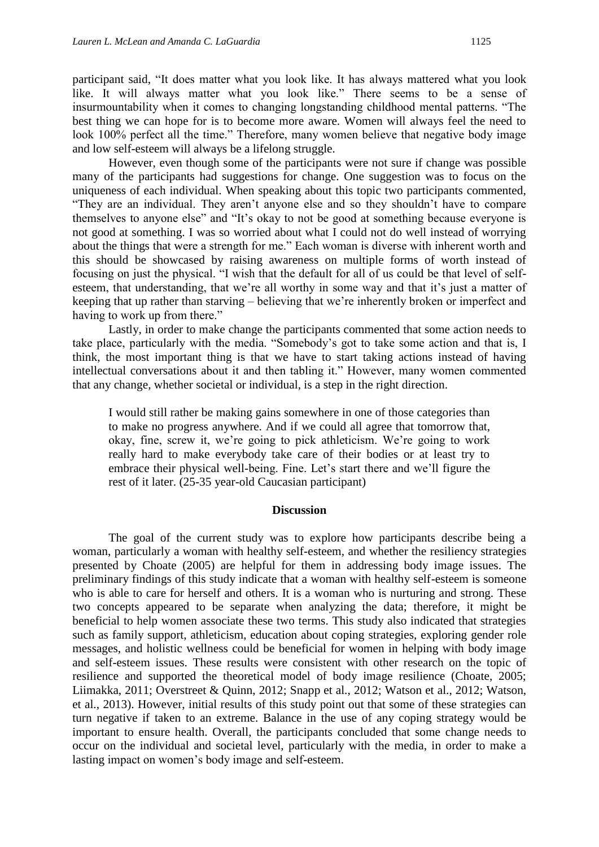participant said, "It does matter what you look like. It has always mattered what you look like. It will always matter what you look like." There seems to be a sense of insurmountability when it comes to changing longstanding childhood mental patterns. "The best thing we can hope for is to become more aware. Women will always feel the need to look 100% perfect all the time." Therefore, many women believe that negative body image and low self-esteem will always be a lifelong struggle.

However, even though some of the participants were not sure if change was possible many of the participants had suggestions for change. One suggestion was to focus on the uniqueness of each individual. When speaking about this topic two participants commented, "They are an individual. They aren't anyone else and so they shouldn't have to compare themselves to anyone else" and "It's okay to not be good at something because everyone is not good at something. I was so worried about what I could not do well instead of worrying about the things that were a strength for me." Each woman is diverse with inherent worth and this should be showcased by raising awareness on multiple forms of worth instead of focusing on just the physical. "I wish that the default for all of us could be that level of selfesteem, that understanding, that we're all worthy in some way and that it's just a matter of keeping that up rather than starving – believing that we're inherently broken or imperfect and having to work up from there."

Lastly, in order to make change the participants commented that some action needs to take place, particularly with the media. "Somebody's got to take some action and that is, I think, the most important thing is that we have to start taking actions instead of having intellectual conversations about it and then tabling it." However, many women commented that any change, whether societal or individual, is a step in the right direction.

I would still rather be making gains somewhere in one of those categories than to make no progress anywhere. And if we could all agree that tomorrow that, okay, fine, screw it, we're going to pick athleticism. We're going to work really hard to make everybody take care of their bodies or at least try to embrace their physical well-being. Fine. Let's start there and we'll figure the rest of it later. (25-35 year-old Caucasian participant)

#### **Discussion**

The goal of the current study was to explore how participants describe being a woman, particularly a woman with healthy self-esteem, and whether the resiliency strategies presented by Choate (2005) are helpful for them in addressing body image issues. The preliminary findings of this study indicate that a woman with healthy self-esteem is someone who is able to care for herself and others. It is a woman who is nurturing and strong. These two concepts appeared to be separate when analyzing the data; therefore, it might be beneficial to help women associate these two terms. This study also indicated that strategies such as family support, athleticism, education about coping strategies, exploring gender role messages, and holistic wellness could be beneficial for women in helping with body image and self-esteem issues. These results were consistent with other research on the topic of resilience and supported the theoretical model of body image resilience (Choate, 2005; Liimakka, 2011; Overstreet & Quinn, 2012; Snapp et al., 2012; Watson et al., 2012; Watson, et al., 2013). However, initial results of this study point out that some of these strategies can turn negative if taken to an extreme. Balance in the use of any coping strategy would be important to ensure health. Overall, the participants concluded that some change needs to occur on the individual and societal level, particularly with the media, in order to make a lasting impact on women's body image and self-esteem.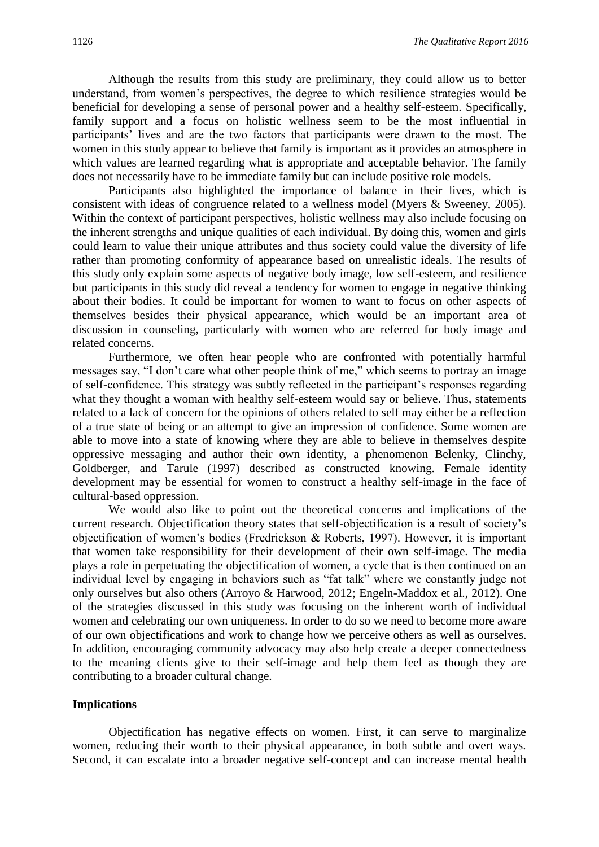Although the results from this study are preliminary, they could allow us to better understand, from women's perspectives, the degree to which resilience strategies would be beneficial for developing a sense of personal power and a healthy self-esteem. Specifically, family support and a focus on holistic wellness seem to be the most influential in participants' lives and are the two factors that participants were drawn to the most. The women in this study appear to believe that family is important as it provides an atmosphere in which values are learned regarding what is appropriate and acceptable behavior. The family does not necessarily have to be immediate family but can include positive role models.

Participants also highlighted the importance of balance in their lives, which is consistent with ideas of congruence related to a wellness model (Myers & Sweeney, 2005). Within the context of participant perspectives, holistic wellness may also include focusing on the inherent strengths and unique qualities of each individual. By doing this, women and girls could learn to value their unique attributes and thus society could value the diversity of life rather than promoting conformity of appearance based on unrealistic ideals. The results of this study only explain some aspects of negative body image, low self-esteem, and resilience but participants in this study did reveal a tendency for women to engage in negative thinking about their bodies. It could be important for women to want to focus on other aspects of themselves besides their physical appearance, which would be an important area of discussion in counseling, particularly with women who are referred for body image and related concerns.

Furthermore, we often hear people who are confronted with potentially harmful messages say, "I don't care what other people think of me," which seems to portray an image of self-confidence. This strategy was subtly reflected in the participant's responses regarding what they thought a woman with healthy self-esteem would say or believe. Thus, statements related to a lack of concern for the opinions of others related to self may either be a reflection of a true state of being or an attempt to give an impression of confidence. Some women are able to move into a state of knowing where they are able to believe in themselves despite oppressive messaging and author their own identity, a phenomenon Belenky, Clinchy, Goldberger, and Tarule (1997) described as constructed knowing. Female identity development may be essential for women to construct a healthy self-image in the face of cultural-based oppression.

We would also like to point out the theoretical concerns and implications of the current research. Objectification theory states that self-objectification is a result of society's objectification of women's bodies (Fredrickson & Roberts, 1997). However, it is important that women take responsibility for their development of their own self-image. The media plays a role in perpetuating the objectification of women, a cycle that is then continued on an individual level by engaging in behaviors such as "fat talk" where we constantly judge not only ourselves but also others (Arroyo & Harwood, 2012; Engeln-Maddox et al., 2012). One of the strategies discussed in this study was focusing on the inherent worth of individual women and celebrating our own uniqueness. In order to do so we need to become more aware of our own objectifications and work to change how we perceive others as well as ourselves. In addition, encouraging community advocacy may also help create a deeper connectedness to the meaning clients give to their self-image and help them feel as though they are contributing to a broader cultural change.

#### **Implications**

Objectification has negative effects on women. First, it can serve to marginalize women, reducing their worth to their physical appearance, in both subtle and overt ways. Second, it can escalate into a broader negative self-concept and can increase mental health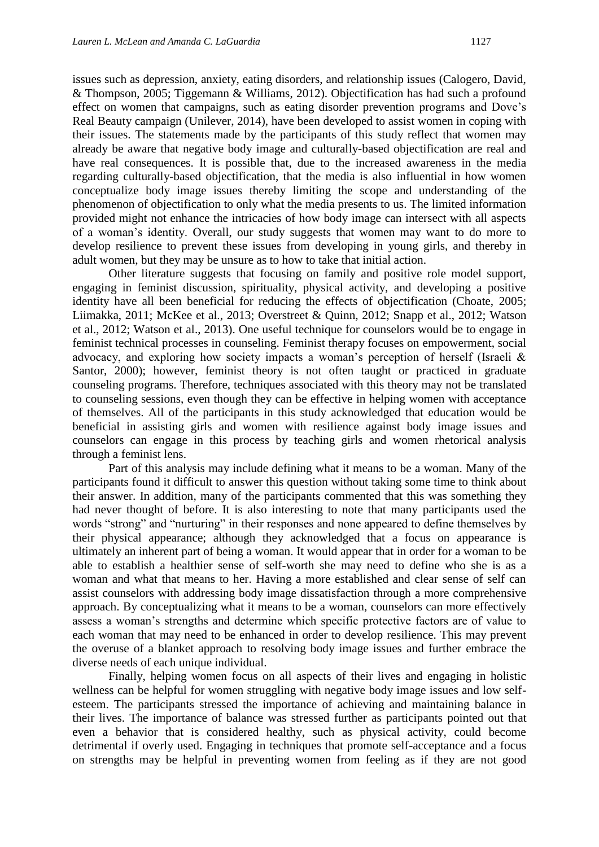issues such as depression, anxiety, eating disorders, and relationship issues (Calogero, David, & Thompson, 2005; Tiggemann & Williams, 2012). Objectification has had such a profound effect on women that campaigns, such as eating disorder prevention programs and Dove's Real Beauty campaign (Unilever, 2014), have been developed to assist women in coping with their issues. The statements made by the participants of this study reflect that women may already be aware that negative body image and culturally-based objectification are real and have real consequences. It is possible that, due to the increased awareness in the media regarding culturally-based objectification, that the media is also influential in how women conceptualize body image issues thereby limiting the scope and understanding of the phenomenon of objectification to only what the media presents to us. The limited information provided might not enhance the intricacies of how body image can intersect with all aspects of a woman's identity. Overall, our study suggests that women may want to do more to develop resilience to prevent these issues from developing in young girls, and thereby in adult women, but they may be unsure as to how to take that initial action.

Other literature suggests that focusing on family and positive role model support, engaging in feminist discussion, spirituality, physical activity, and developing a positive identity have all been beneficial for reducing the effects of objectification (Choate, 2005; Liimakka, 2011; McKee et al., 2013; Overstreet & Quinn, 2012; Snapp et al., 2012; Watson et al., 2012; Watson et al., 2013). One useful technique for counselors would be to engage in feminist technical processes in counseling. Feminist therapy focuses on empowerment, social advocacy, and exploring how society impacts a woman's perception of herself (Israeli & Santor, 2000); however, feminist theory is not often taught or practiced in graduate counseling programs. Therefore, techniques associated with this theory may not be translated to counseling sessions, even though they can be effective in helping women with acceptance of themselves. All of the participants in this study acknowledged that education would be beneficial in assisting girls and women with resilience against body image issues and counselors can engage in this process by teaching girls and women rhetorical analysis through a feminist lens.

Part of this analysis may include defining what it means to be a woman. Many of the participants found it difficult to answer this question without taking some time to think about their answer. In addition, many of the participants commented that this was something they had never thought of before. It is also interesting to note that many participants used the words "strong" and "nurturing" in their responses and none appeared to define themselves by their physical appearance; although they acknowledged that a focus on appearance is ultimately an inherent part of being a woman. It would appear that in order for a woman to be able to establish a healthier sense of self-worth she may need to define who she is as a woman and what that means to her. Having a more established and clear sense of self can assist counselors with addressing body image dissatisfaction through a more comprehensive approach. By conceptualizing what it means to be a woman, counselors can more effectively assess a woman's strengths and determine which specific protective factors are of value to each woman that may need to be enhanced in order to develop resilience. This may prevent the overuse of a blanket approach to resolving body image issues and further embrace the diverse needs of each unique individual.

Finally, helping women focus on all aspects of their lives and engaging in holistic wellness can be helpful for women struggling with negative body image issues and low selfesteem. The participants stressed the importance of achieving and maintaining balance in their lives. The importance of balance was stressed further as participants pointed out that even a behavior that is considered healthy, such as physical activity, could become detrimental if overly used. Engaging in techniques that promote self-acceptance and a focus on strengths may be helpful in preventing women from feeling as if they are not good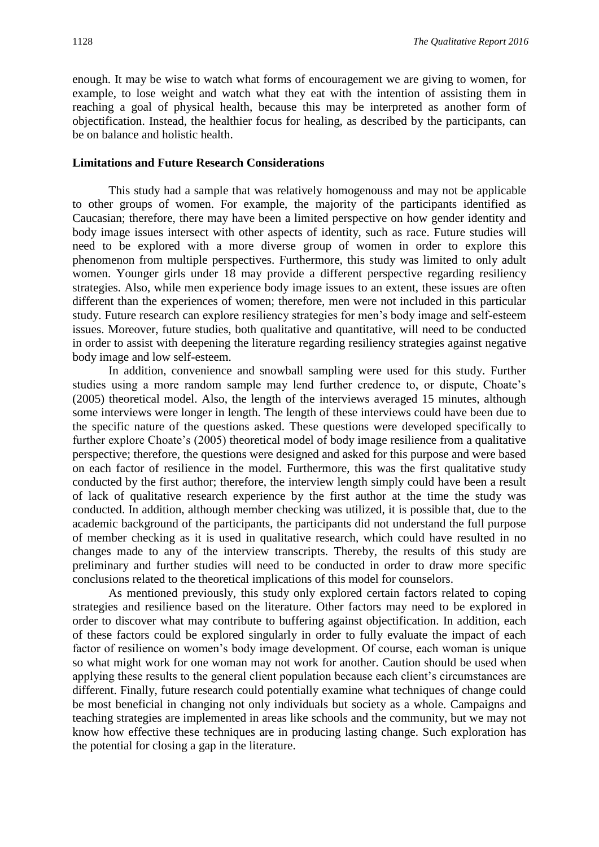enough. It may be wise to watch what forms of encouragement we are giving to women, for example, to lose weight and watch what they eat with the intention of assisting them in reaching a goal of physical health, because this may be interpreted as another form of objectification. Instead, the healthier focus for healing, as described by the participants, can be on balance and holistic health.

#### **Limitations and Future Research Considerations**

This study had a sample that was relatively homogenouss and may not be applicable to other groups of women. For example, the majority of the participants identified as Caucasian; therefore, there may have been a limited perspective on how gender identity and body image issues intersect with other aspects of identity, such as race. Future studies will need to be explored with a more diverse group of women in order to explore this phenomenon from multiple perspectives. Furthermore, this study was limited to only adult women. Younger girls under 18 may provide a different perspective regarding resiliency strategies. Also, while men experience body image issues to an extent, these issues are often different than the experiences of women; therefore, men were not included in this particular study. Future research can explore resiliency strategies for men's body image and self-esteem issues. Moreover, future studies, both qualitative and quantitative, will need to be conducted in order to assist with deepening the literature regarding resiliency strategies against negative body image and low self-esteem.

In addition, convenience and snowball sampling were used for this study. Further studies using a more random sample may lend further credence to, or dispute, Choate's (2005) theoretical model. Also, the length of the interviews averaged 15 minutes, although some interviews were longer in length. The length of these interviews could have been due to the specific nature of the questions asked. These questions were developed specifically to further explore Choate's (2005) theoretical model of body image resilience from a qualitative perspective; therefore, the questions were designed and asked for this purpose and were based on each factor of resilience in the model. Furthermore, this was the first qualitative study conducted by the first author; therefore, the interview length simply could have been a result of lack of qualitative research experience by the first author at the time the study was conducted. In addition, although member checking was utilized, it is possible that, due to the academic background of the participants, the participants did not understand the full purpose of member checking as it is used in qualitative research, which could have resulted in no changes made to any of the interview transcripts. Thereby, the results of this study are preliminary and further studies will need to be conducted in order to draw more specific conclusions related to the theoretical implications of this model for counselors.

As mentioned previously, this study only explored certain factors related to coping strategies and resilience based on the literature. Other factors may need to be explored in order to discover what may contribute to buffering against objectification. In addition, each of these factors could be explored singularly in order to fully evaluate the impact of each factor of resilience on women's body image development. Of course, each woman is unique so what might work for one woman may not work for another. Caution should be used when applying these results to the general client population because each client's circumstances are different. Finally, future research could potentially examine what techniques of change could be most beneficial in changing not only individuals but society as a whole. Campaigns and teaching strategies are implemented in areas like schools and the community, but we may not know how effective these techniques are in producing lasting change. Such exploration has the potential for closing a gap in the literature.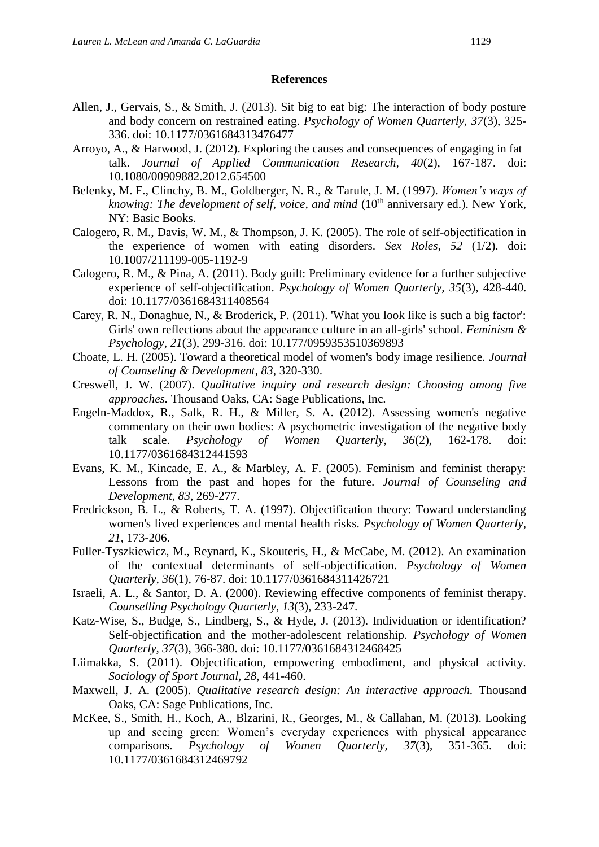#### **References**

- Allen, J., Gervais, S., & Smith, J. (2013). Sit big to eat big: The interaction of body posture and body concern on restrained eating. *Psychology of Women Quarterly, 37*(3), 325- 336. doi: 10.1177/0361684313476477
- Arroyo, A., & Harwood, J. (2012). Exploring the causes and consequences of engaging in fat talk. *Journal of Applied Communication Research, 40*(2), 167-187. doi: 10.1080/00909882.2012.654500
- Belenky, M. F., Clinchy, B. M., Goldberger, N. R., & Tarule, J. M. (1997). *Women's ways of knowing: The development of self, voice, and mind* (10<sup>th</sup> anniversary ed.). New York, NY: Basic Books.
- Calogero, R. M., Davis, W. M., & Thompson, J. K. (2005). The role of self-objectification in the experience of women with eating disorders. *Sex Roles, 52* (1/2). doi: 10.1007/211199-005-1192-9
- Calogero, R. M., & Pina, A. (2011). Body guilt: Preliminary evidence for a further subjective experience of self-objectification. *Psychology of Women Quarterly, 35*(3), 428-440. doi: 10.1177/0361684311408564
- Carey, R. N., Donaghue, N., & Broderick, P. (2011). 'What you look like is such a big factor': Girls' own reflections about the appearance culture in an all-girls' school. *Feminism & Psychology, 21*(3), 299-316. doi: 10.177/0959353510369893
- Choate, L. H. (2005). Toward a theoretical model of women's body image resilience. *Journal of Counseling & Development, 83*, 320-330.
- Creswell, J. W. (2007). *Qualitative inquiry and research design: Choosing among five approaches.* Thousand Oaks, CA: Sage Publications, Inc.
- Engeln-Maddox, R., Salk, R. H., & Miller, S. A. (2012). Assessing women's negative commentary on their own bodies: A psychometric investigation of the negative body talk scale. *Psychology of Women Quarterly, 36*(2), 162-178. doi: 10.1177/0361684312441593
- Evans, K. M., Kincade, E. A., & Marbley, A. F. (2005). Feminism and feminist therapy: Lessons from the past and hopes for the future. *Journal of Counseling and Development, 83,* 269-277.
- Fredrickson, B. L., & Roberts, T. A. (1997). Objectification theory: Toward understanding women's lived experiences and mental health risks. *Psychology of Women Quarterly, 21*, 173-206.
- Fuller-Tyszkiewicz, M., Reynard, K., Skouteris, H., & McCabe, M. (2012). An examination of the contextual determinants of self-objectification. *Psychology of Women Quarterly, 36*(1), 76-87. doi: 10.1177/0361684311426721
- Israeli, A. L., & Santor, D. A. (2000). Reviewing effective components of feminist therapy. *Counselling Psychology Quarterly, 13*(3), 233-247.
- Katz-Wise, S., Budge, S., Lindberg, S., & Hyde, J. (2013). Individuation or identification? Self-objectification and the mother-adolescent relationship. *Psychology of Women Quarterly, 37*(3), 366-380. doi: 10.1177/0361684312468425
- Liimakka, S. (2011). Objectification, empowering embodiment, and physical activity. *Sociology of Sport Journal, 28,* 441-460.
- Maxwell, J. A. (2005). *Qualitative research design: An interactive approach.* Thousand Oaks, CA: Sage Publications, Inc.
- McKee, S., Smith, H., Koch, A., Blzarini, R., Georges, M., & Callahan, M. (2013). Looking up and seeing green: Women's everyday experiences with physical appearance comparisons. *Psychology of Women Quarterly, 37*(3), 351-365. doi: 10.1177/0361684312469792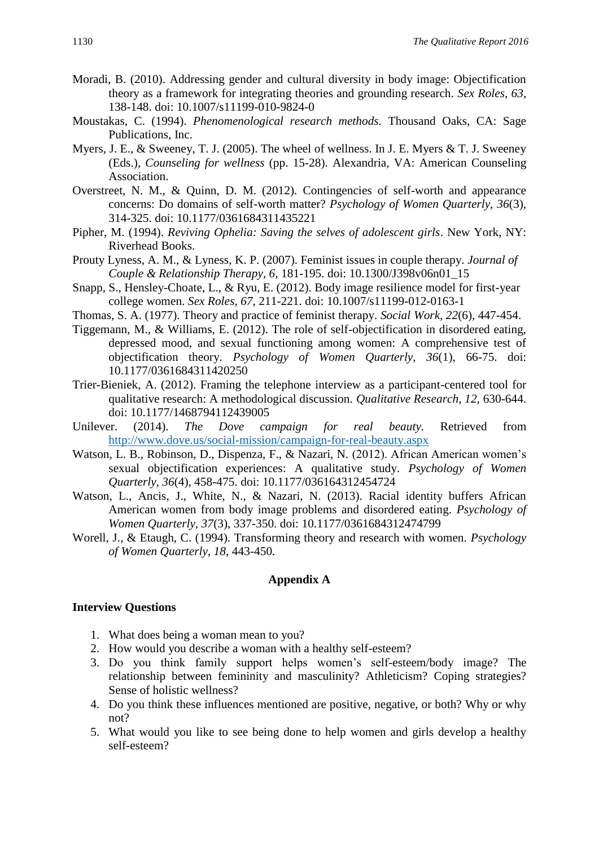- Moradi, B. (2010). Addressing gender and cultural diversity in body image: Objectification theory as a framework for integrating theories and grounding research. *Sex Roles, 63*, 138-148. doi: 10.1007/s11199-010-9824-0
- Moustakas, C. (1994). *Phenomenological research methods.* Thousand Oaks, CA: Sage Publications, Inc.
- Myers, J. E., & Sweeney, T. J. (2005). The wheel of wellness. In J. E. Myers & T. J. Sweeney (Eds.), *Counseling for wellness* (pp. 15-28). Alexandria, VA: American Counseling Association.
- Overstreet, N. M., & Quinn, D. M. (2012). Contingencies of self-worth and appearance concerns: Do domains of self-worth matter? *Psychology of Women Quarterly, 36*(3), 314-325. doi: 10.1177/0361684311435221
- Pipher, M. (1994). *Reviving Ophelia: Saving the selves of adolescent girls*. New York, NY: Riverhead Books.
- Prouty Lyness, A. M., & Lyness, K. P. (2007). Feminist issues in couple therapy. *Journal of Couple & Relationship Therapy, 6,* 181-195. doi: 10.1300/J398v06n01\_15
- Snapp, S., Hensley-Choate, L., & Ryu, E. (2012). Body image resilience model for first-year college women. *Sex Roles, 67,* 211-221. doi: 10.1007/s11199-012-0163-1
- Thomas, S. A. (1977). Theory and practice of feminist therapy. *Social Work, 22*(6), 447-454.
- Tiggemann, M., & Williams, E. (2012). The role of self-objectification in disordered eating, depressed mood, and sexual functioning among women: A comprehensive test of objectification theory. *Psychology of Women Quarterly, 36*(1), 66-75. doi: 10.1177/0361684311420250
- Trier-Bieniek, A. (2012). Framing the telephone interview as a participant-centered tool for qualitative research: A methodological discussion. *Qualitative Research, 12,* 630-644. doi: 10.1177/1468794112439005
- Unilever. (2014). *The Dove campaign for real beauty.* Retrieved from <http://www.dove.us/social-mission/campaign-for-real-beauty.aspx>
- Watson, L. B., Robinson, D., Dispenza, F., & Nazari, N. (2012). African American women's sexual objectification experiences: A qualitative study. *Psychology of Women Quarterly, 36*(4), 458-475. doi: 10.1177/036164312454724
- Watson, L., Ancis, J., White, N., & Nazari, N. (2013). Racial identity buffers African American women from body image problems and disordered eating. *Psychology of Women Quarterly, 37*(3), 337-350. doi: 10.1177/0361684312474799
- Worell, J., & Etaugh, C. (1994). Transforming theory and research with women. *Psychology of Women Quarterly, 18*, 443-450.

## **Appendix A**

#### **Interview Questions**

- 1. What does being a woman mean to you?
- 2. How would you describe a woman with a healthy self-esteem?
- 3. Do you think family support helps women's self-esteem/body image? The relationship between femininity and masculinity? Athleticism? Coping strategies? Sense of holistic wellness?
- 4. Do you think these influences mentioned are positive, negative, or both? Why or why not?
- 5. What would you like to see being done to help women and girls develop a healthy self-esteem?